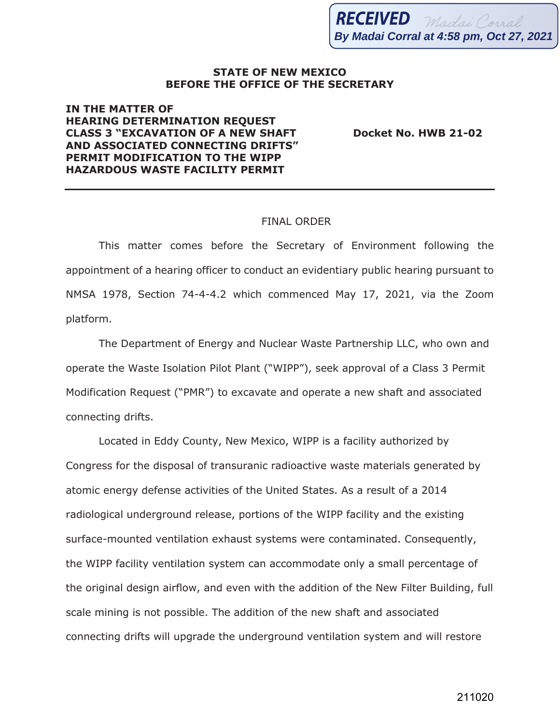## **STATE OF NEW MEXICO BEFORE THE OFFICE OF THE SECRETARY**

## **IN THE MATTER OF HEARING DETERMINATION REQUEST CLASS 3 "EXCAVATION OF A NEW SHAFT Docket No. HWB 21-02 AND ASSOCIATED CONNECTING DRIFTS" PERMIT MODIFICATION TO THE WIPP HAZARDOUS WASTE FACILITY PERMIT**

## FINAL ORDER

This matter comes before the Secretary of Environment following the appointment of a hearing officer to conduct an evidentiary public hearing pursuant to NMSA 1978, Section 74-4-4.2 which commenced May 17, 2021, via the Zoom platform.

The Department of Energy and Nuclear Waste Partnership LLC, who own and operate the Waste Isolation Pilot Plant ("WIPP"), seek approval of a Class 3 Permit Modification Request ("PMR") to excavate and operate a new shaft and associated connecting drifts.

Located in Eddy County, New Mexico, WIPP is a facility authorized by Congress for the disposal of transuranic radioactive waste materials generated by atomic energy defense activities of the United States. As a result of a 2014 radiological underground release, portions of the WIPP facility and the existing surface-mounted ventilation exhaust systems were contaminated. Consequently, the WIPP facility ventilation system can accommodate only a small percentage of the original design airflow, and even with the addition of the New Filter Building, full scale mining is not possible. The addition of the new shaft and associated connecting drifts will upgrade the underground ventilation system and will restore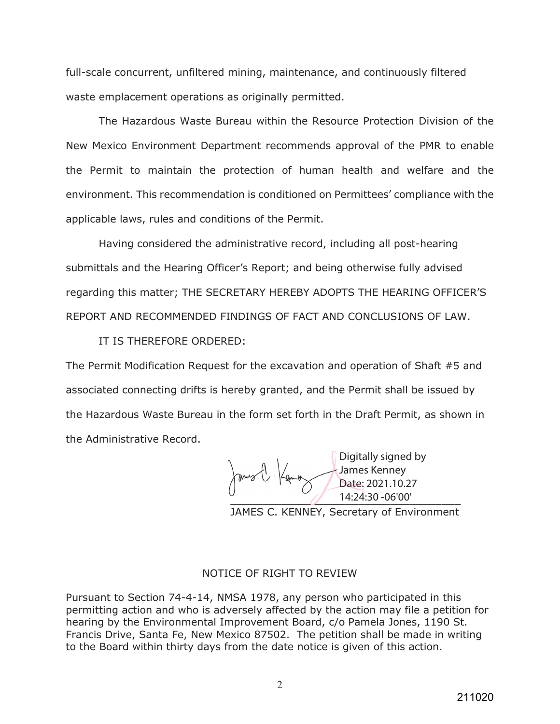full-scale concurrent, unfiltered mining, maintenance, and continuously filtered waste emplacement operations as originally permitted.

The Hazardous Waste Bureau within the Resource Protection Division of the New Mexico Environment Department recommends approval of the PMR to enable the Permit to maintain the protection of human health and welfare and the environment. This recommendation is conditioned on Permittees' compliance with the applicable laws, rules and conditions of the Permit.

Having considered the administrative record, including all post-hearing submittals and the Hearing Officer's Report; and being otherwise fully advised regarding this matter; THE SECRETARY HEREBY ADOPTS THE HEARING OFFICER'S REPORT AND RECOMMENDED FINDINGS OF FACT AND CONCLUSIONS OF LAW.

IT IS THEREFORE ORDERED:

The Permit Modification Request for the excavation and operation of Shaft #5 and associated connecting drifts is hereby granted, and the Permit shall be issued by the Hazardous Waste Bureau in the form set forth in the Draft Permit, as shown in the Administrative Record.

 $\frac{14:24:30-06'00''}{ }$ Digitally signed by James Kenney Date: 2021.10.27 14:24:30 -06'00'

JAMES C. KENNEY, Secretary of Environment

## NOTICE OF RIGHT TO REVIEW

Pursuant to Section 74-4-14, NMSA 1978, any person who participated in this permitting action and who is adversely affected by the action may file a petition for hearing by the Environmental Improvement Board, c/o Pamela Jones, 1190 St. Francis Drive, Santa Fe, New Mexico 87502. The petition shall be made in writing to the Board within thirty days from the date notice is given of this action.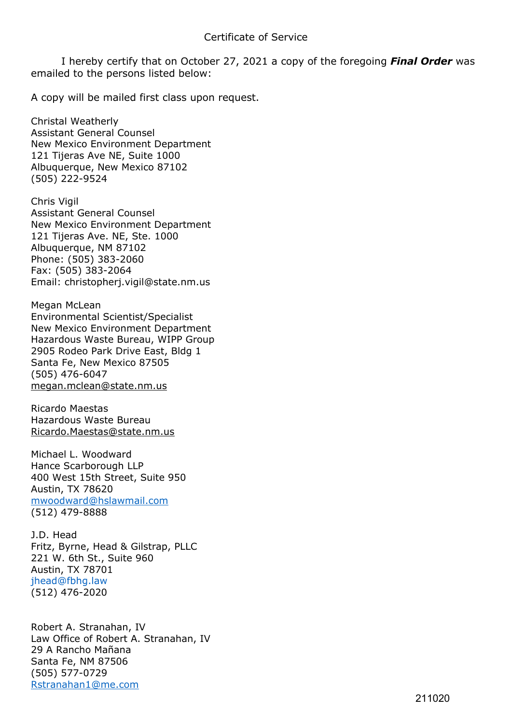I hereby certify that on October 27, 2021 a copy of the foregoing *Final Order* was emailed to the persons listed below:

A copy will be mailed first class upon request.

Christal Weatherly Assistant General Counsel New Mexico Environment Department 121 Tijeras Ave NE, Suite 1000 Albuquerque, New Mexico 87102 (505) 222-9524

Chris Vigil Assistant General Counsel New Mexico Environment Department 121 Tijeras Ave. NE, Ste. 1000 Albuquerque, NM 87102 Phone: (505) 383-2060 Fax: (505) 383-2064 Email: christopherj.vigil@state.nm.us

Megan McLean Environmental Scientist/Specialist New Mexico Environment Department Hazardous Waste Bureau, WIPP Group 2905 Rodeo Park Drive East, Bldg 1 Santa Fe, New Mexico 87505 (505) 476-6047 [megan.mclean@state.nm.us](mailto:megan.mclean@state.nm.us)

Ricardo Maestas Hazardous Waste Bureau [Ricardo.Maestas@state.nm.us](mailto:Ricardo.Maestas@state.nm.us)

Michael L. Woodward Hance Scarborough LLP 400 West 15th Street, Suite 950 Austin, TX 78620 [mwoodward@hslawmail.com](mailto:mwoodward@hslawmail.com) (512) 479-8888

J.D. Head Fritz, Byrne, Head & Gilstrap, PLLC 221 W. 6th St., Suite 960 Austin, TX 78701 jhead@fbhg.law (512) 476-2020

Robert A. Stranahan, IV Law Office of Robert A. Stranahan, IV 29 A Rancho Mañana Santa Fe, NM 87506 (505) 577-0729 [Rstranahan1@me.com](mailto:Rstranahan1@me.com)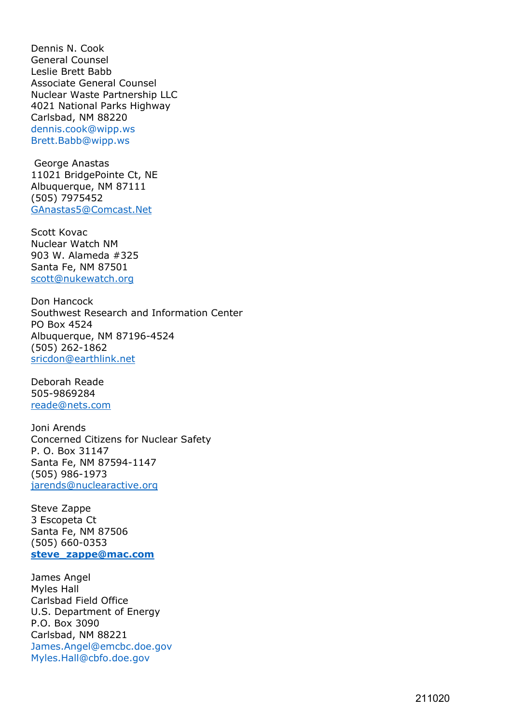Dennis N. Cook General Counsel Leslie Brett Babb Associate General Counsel Nuclear Waste Partnership LLC 4021 National Parks Highway Carlsbad, NM 88220 dennis.cook@wipp.ws Brett.Babb@wipp.ws

George Anastas 11021 BridgePointe Ct, NE Albuquerque, NM 87111 (505) 7975452 [GAnastas5@Comcast.Net](mailto:GAnastas5@Comcast.Net)

Scott Kovac Nuclear Watch NM 903 W. Alameda #325 Santa Fe, NM 87501 [scott@nukewatch.org](mailto:scott@nukewatch.org)

Don Hancock Southwest Research and Information Center PO Box 4524 Albuquerque, NM 87196-4524 (505) 262-1862 [sricdon@earthlink.net](mailto:sricdon@earthlink.net)

Deborah Reade 505-9869284 [reade@nets.com](mailto:reade@nets.com)

Joni Arends Concerned Citizens for Nuclear Safety P. O. Box 31147 Santa Fe, NM 87594-1147 (505) 986-1973 [jarends@nuclearactive.org](mailto:jarends@nuclearactive.org)

Steve Zappe 3 Escopeta Ct Santa Fe, NM 87506 (505) 660-0353 **[steve\\_zappe@mac.com](mailto:steve_zappe@mac.com)**

James Angel Myles Hall Carlsbad Field Office U.S. Department of Energy P.O. Box 3090 Carlsbad, NM 88221 James.Angel@emcbc.doe.gov Myles.Hall@cbfo.doe.gov